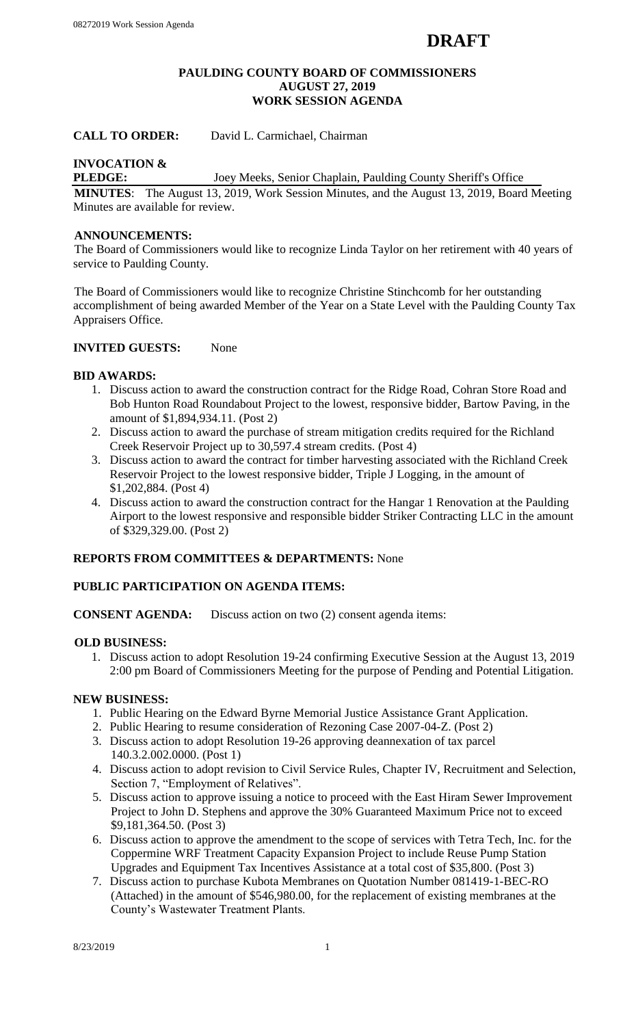#### **PAULDING COUNTY BOARD OF COMMISSIONERS AUGUST 27, 2019 WORK SESSION AGENDA**

# **CALL TO ORDER:** David L. Carmichael, Chairman

# **INVOCATION &**

**PLEDGE:** Joey Meeks, Senior Chaplain, Paulding County Sheriff's Office

**MINUTES**: The August 13, 2019, Work Session Minutes, and the August 13, 2019, Board Meeting Minutes are available for review.

# **ANNOUNCEMENTS:**

The Board of Commissioners would like to recognize Linda Taylor on her retirement with 40 years of service to Paulding County.

The Board of Commissioners would like to recognize Christine Stinchcomb for her outstanding accomplishment of being awarded Member of the Year on a State Level with the Paulding County Tax Appraisers Office.

# **INVITED GUESTS:** None

## **BID AWARDS:**

- 1. Discuss action to award the construction contract for the Ridge Road, Cohran Store Road and Bob Hunton Road Roundabout Project to the lowest, responsive bidder, Bartow Paving, in the amount of \$1,894,934.11. (Post 2)
- 2. Discuss action to award the purchase of stream mitigation credits required for the Richland Creek Reservoir Project up to 30,597.4 stream credits. (Post 4)
- 3. Discuss action to award the contract for timber harvesting associated with the Richland Creek Reservoir Project to the lowest responsive bidder, Triple J Logging, in the amount of \$1,202,884. (Post 4)
- 4. Discuss action to award the construction contract for the Hangar 1 Renovation at the Paulding Airport to the lowest responsive and responsible bidder Striker Contracting LLC in the amount of \$329,329.00. (Post 2)

## **REPORTS FROM COMMITTEES & DEPARTMENTS:** None

#### **PUBLIC PARTICIPATION ON AGENDA ITEMS:**

**CONSENT AGENDA:** Discuss action on two (2) consent agenda items:

#### **OLD BUSINESS:**

1. Discuss action to adopt Resolution 19-24 confirming Executive Session at the August 13, 2019 2:00 pm Board of Commissioners Meeting for the purpose of Pending and Potential Litigation.

#### **NEW BUSINESS:**

- 1. Public Hearing on the Edward Byrne Memorial Justice Assistance Grant Application.
- 2. Public Hearing to resume consideration of Rezoning Case 2007-04-Z. (Post 2)
- 3. Discuss action to adopt Resolution 19-26 approving deannexation of tax parcel 140.3.2.002.0000. (Post 1)
- 4. Discuss action to adopt revision to Civil Service Rules, Chapter IV, Recruitment and Selection, Section 7, "Employment of Relatives".
- 5. Discuss action to approve issuing a notice to proceed with the East Hiram Sewer Improvement Project to John D. Stephens and approve the 30% Guaranteed Maximum Price not to exceed \$9,181,364.50. (Post 3)
- 6. Discuss action to approve the amendment to the scope of services with Tetra Tech, Inc. for the Coppermine WRF Treatment Capacity Expansion Project to include Reuse Pump Station Upgrades and Equipment Tax Incentives Assistance at a total cost of \$35,800. (Post 3)
- 7. Discuss action to purchase Kubota Membranes on Quotation Number 081419-1-BEC-RO (Attached) in the amount of \$546,980.00, for the replacement of existing membranes at the County's Wastewater Treatment Plants.